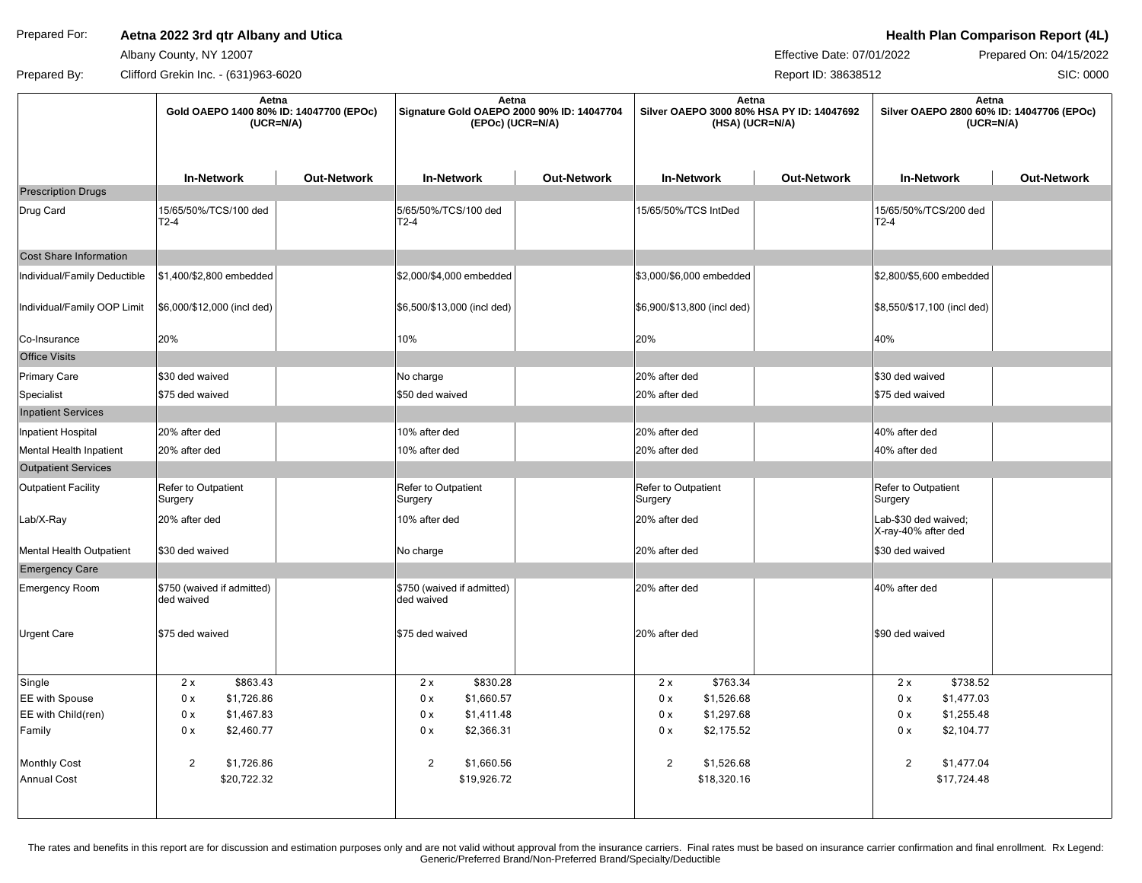## Prepared For: **Aetna 2022 3rd qtr Albany and Utica Health Plan Comparison Report (4L) Health Plan Comparison Report (4L)**

Albany County, NY 12007

Effective Date: 07/01/2022 Prepared On: 04/15/2022

SIC: 0000

Prepared By: Clifford Grekin Inc. - (631)963-6020 Clifford Creater and Control of the Creater According to the Report ID: 38638512

|                               | Aetna<br>Gold OAEPO 1400 80% ID: 14047700 (EPOc)<br>$(UCR=N/A)$ |                    | Aetna<br>Signature Gold OAEPO 2000 90% ID: 14047704<br>(EPOc) (UCR=N/A) |                    | Aetna<br>Silver OAEPO 3000 80% HSA PY ID: 14047692<br>(HSA) (UCR=N/A) |                    | Aetna<br>Silver OAEPO 2800 60% ID: 14047706 (EPOc)<br>$(UCR=N/A)$ |                    |
|-------------------------------|-----------------------------------------------------------------|--------------------|-------------------------------------------------------------------------|--------------------|-----------------------------------------------------------------------|--------------------|-------------------------------------------------------------------|--------------------|
|                               | <b>In-Network</b>                                               | <b>Out-Network</b> | <b>In-Network</b>                                                       | <b>Out-Network</b> | <b>In-Network</b>                                                     | <b>Out-Network</b> | <b>In-Network</b>                                                 | <b>Out-Network</b> |
| <b>Prescription Drugs</b>     |                                                                 |                    |                                                                         |                    |                                                                       |                    |                                                                   |                    |
| Drug Card                     | 15/65/50%/TCS/100 ded<br>$T2-4$                                 |                    | 5/65/50%/TCS/100 ded<br>$T2-4$                                          |                    | 15/65/50%/TCS IntDed                                                  |                    | 15/65/50%/TCS/200 ded<br>$T2-4$                                   |                    |
| <b>Cost Share Information</b> |                                                                 |                    |                                                                         |                    |                                                                       |                    |                                                                   |                    |
| Individual/Family Deductible  | \$1,400/\$2,800 embedded                                        |                    | \$2,000/\$4,000 embedded                                                |                    | \$3,000/\$6,000 embedded                                              |                    | \$2,800/\$5,600 embedded                                          |                    |
| Individual/Family OOP Limit   | \$6,000/\$12,000 (incl ded)                                     |                    | \$6,500/\$13,000 (incl ded)                                             |                    | \$6,900/\$13,800 (incl ded)                                           |                    | \$8,550/\$17,100 (incl ded)                                       |                    |
| Co-Insurance                  | 20%                                                             |                    | 10%                                                                     |                    | 20%                                                                   |                    | 40%                                                               |                    |
| <b>Office Visits</b>          |                                                                 |                    |                                                                         |                    |                                                                       |                    |                                                                   |                    |
| Primary Care                  | \$30 ded waived                                                 |                    | No charge                                                               |                    | 20% after ded                                                         |                    | \$30 ded waived                                                   |                    |
| Specialist                    | \$75 ded waived                                                 |                    | \$50 ded waived                                                         |                    | 20% after ded                                                         |                    | \$75 ded waived                                                   |                    |
| <b>Inpatient Services</b>     |                                                                 |                    |                                                                         |                    |                                                                       |                    |                                                                   |                    |
| Inpatient Hospital            | 20% after ded                                                   |                    | 10% after ded                                                           |                    | 20% after ded                                                         |                    | 40% after ded                                                     |                    |
| Mental Health Inpatient       | 20% after ded                                                   |                    | 10% after ded                                                           |                    | 20% after ded                                                         |                    | 40% after ded                                                     |                    |
| <b>Outpatient Services</b>    |                                                                 |                    |                                                                         |                    |                                                                       |                    |                                                                   |                    |
| <b>Outpatient Facility</b>    | Refer to Outpatient<br>Surgery                                  |                    | Refer to Outpatient<br>Surgery                                          |                    | Refer to Outpatient<br>Surgery                                        |                    | Refer to Outpatient<br>Surgery                                    |                    |
| Lab/X-Ray                     | 20% after ded                                                   |                    | 10% after ded                                                           |                    | 20% after ded                                                         |                    | Lab-\$30 ded waived;<br>X-ray-40% after ded                       |                    |
| Mental Health Outpatient      | \$30 ded waived                                                 |                    | No charge                                                               |                    | 20% after ded                                                         |                    | \$30 ded waived                                                   |                    |
| <b>Emergency Care</b>         |                                                                 |                    |                                                                         |                    |                                                                       |                    |                                                                   |                    |
| Emergency Room                | \$750 (waived if admitted)<br>ded waived                        |                    | \$750 (waived if admitted)<br>ded waived                                |                    | 20% after ded                                                         |                    | 40% after ded                                                     |                    |
| <b>Urgent Care</b>            | \$75 ded waived                                                 |                    | \$75 ded waived                                                         |                    | 20% after ded                                                         |                    | \$90 ded waived                                                   |                    |
| Single                        | \$863.43<br>2x                                                  |                    | \$830.28<br>2x                                                          |                    | \$763.34<br>2x                                                        |                    | \$738.52<br>2x                                                    |                    |
| <b>EE</b> with Spouse         | 0 x<br>\$1,726.86                                               |                    | \$1,660.57<br>0 x                                                       |                    | 0 x<br>\$1,526.68                                                     |                    | 0 x<br>\$1,477.03                                                 |                    |
| EE with Child(ren)            | 0 x<br>\$1,467.83                                               |                    | \$1,411.48<br>0 x                                                       |                    | 0 x<br>\$1,297.68                                                     |                    | 0 x<br>\$1,255.48                                                 |                    |
| Family                        | 0 x<br>\$2,460.77                                               |                    | 0 x<br>\$2,366.31                                                       |                    | \$2,175.52<br>0 x                                                     |                    | 0 x<br>\$2,104.77                                                 |                    |
| Monthly Cost                  | $\overline{2}$<br>\$1,726.86                                    |                    | $\overline{2}$<br>\$1,660.56                                            |                    | $\overline{2}$<br>\$1,526.68                                          |                    | $\overline{2}$<br>\$1,477.04                                      |                    |
| <b>Annual Cost</b>            | \$20,722.32                                                     |                    | \$19,926.72                                                             |                    | \$18,320.16                                                           |                    | \$17,724.48                                                       |                    |
|                               |                                                                 |                    |                                                                         |                    |                                                                       |                    |                                                                   |                    |

The rates and benefits in this report are for discussion and estimation purposes only and are not valid without approval from the insurance carriers. Final rates must be based on insurance carrier confirmation and final en Generic/Preferred Brand/Non-Preferred Brand/Specialty/Deductible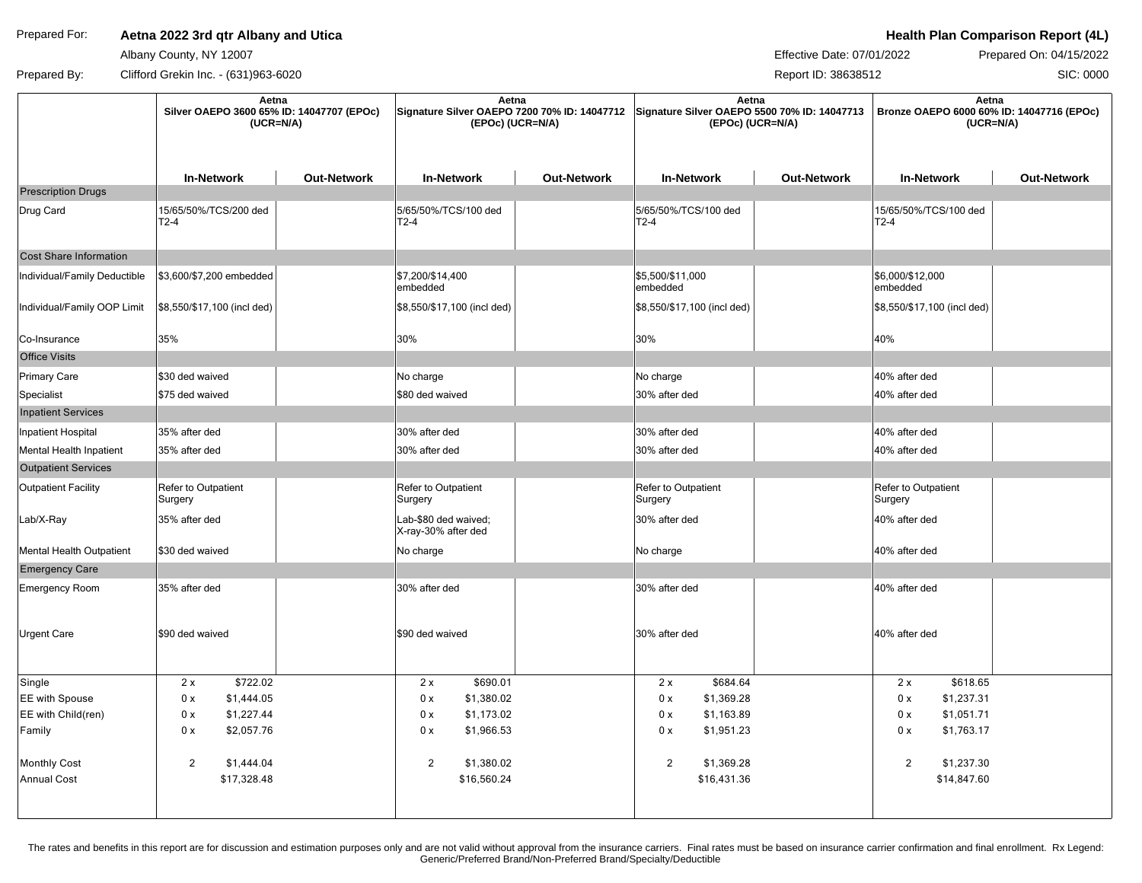## Prepared For: **Aetna 2022 3rd qtr Albany and Utica Health Plan Comparison Report (4L) Health Plan Comparison Report (4L)**

Albany County, NY 12007

Effective Date: 07/01/2022 Prepared On: 04/15/2022

SIC: 0000

Prepared By: Clifford Grekin Inc. - (631)963-6020 Clifford Creater and Control of the Creater According to the Report ID: 38638512

| <b>Out-Network</b><br><b>In-Network</b><br>15/65/50%/TCS/100 ded |
|------------------------------------------------------------------|
|                                                                  |
|                                                                  |
|                                                                  |
|                                                                  |
| \$6,000/\$12,000                                                 |
| \$8,550/\$17,100 (incl ded)                                      |
|                                                                  |
|                                                                  |
| 40% after ded                                                    |
| 40% after ded                                                    |
|                                                                  |
| 40% after ded                                                    |
| 40% after ded                                                    |
|                                                                  |
| Refer to Outpatient                                              |
| 40% after ded                                                    |
| 40% after ded                                                    |
|                                                                  |
|                                                                  |
|                                                                  |
| \$618.65                                                         |
| \$1,237.31                                                       |
| \$1,051.71                                                       |
| \$1,763.17                                                       |
| \$1,237.30                                                       |
| \$14,847.60                                                      |
| 40% after ded<br>40% after ded                                   |

The rates and benefits in this report are for discussion and estimation purposes only and are not valid without approval from the insurance carriers. Final rates must be based on insurance carrier confirmation and final en Generic/Preferred Brand/Non-Preferred Brand/Specialty/Deductible